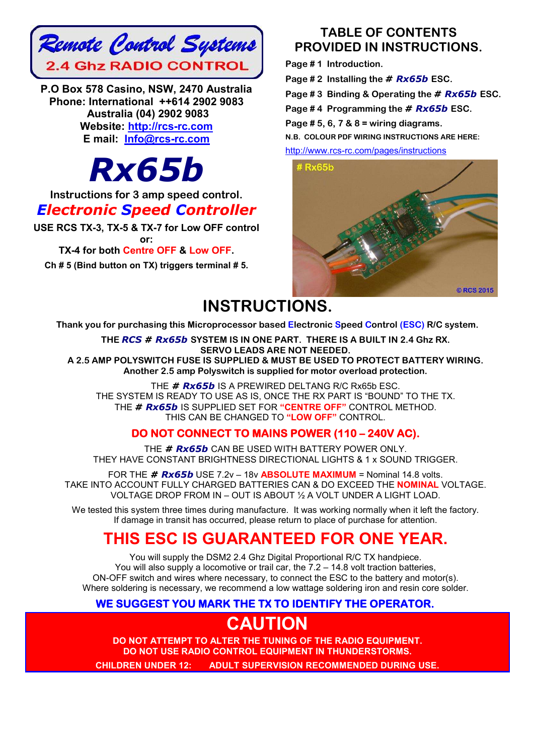

**P.O Box 578 Casino, NSW, 2470 Australia Phone: International ++614 2902 9083 Australia (04) 2902 9083 Website: http://rcs-rc.com E mail: Info@rcs-rc.com**

# *Rx65b*

**Instructions for 3 amp speed control.**

### *Electronic Speed Controller*

**USE RCS TX-3, TX-5 & TX-7 for Low OFF control or:**

### **TX-4 for both Centre OFF & Low OFF.**

**Ch # 5 (Bind button on TX) triggers terminal # 5.**

### **TABLE OF CONTENTS PROVIDED IN INSTRUCTIONS.**

**Page # 1 Introduction.**

**Page # 2 Installing the** *# Rx65b* **ESC.**

**Page # 3 Binding & Operating the** *# Rx65b* **ESC.**

**Page # 4 Programming the** *# Rx65b* **ESC.**

**Page # 5, 6, 7 & 8 = wiring diagrams.**

**N.B. COLOUR PDF WIRING INSTRUCTIONS ARE HERE:**

http://www.rcs-rc.com/pages/instructions



# **INSTRUCTIONS.**

**Thank you for purchasing this Microprocessor based Electronic Speed Control (ESC) R/C system.**

**THE** *RCS # Rx65b* **SYSTEM IS IN ONE PART. THERE IS A BUILT IN 2.4 Ghz RX. SERVO LEADS ARE NOT NEEDED. A 2.5 AMP POLYSWITCH FUSE IS SUPPLIED & MUST BE USED TO PROTECT BATTERY WIRING. Another 2.5 amp Polyswitch is supplied for motor overload protection.**

THE *# Rx65b* IS A PREWIRED DELTANG R/C Rx65b ESC. THE SYSTEM IS READY TO USE AS IS, ONCE THE RX PART IS "BOUND" TO THE TX. THE *# Rx65b* IS SUPPLIED SET FOR **"CENTRE OFF"** CONTROL METHOD. THIS CAN BE CHANGED TO **"LOW OFF"** CONTROL.

### **DO NOT CONNECT TO MAINS POWER (110 – 240V AC).**

THE *# Rx65b* CAN BE USED WITH BATTERY POWER ONLY. THEY HAVE CONSTANT BRIGHTNESS DIRECTIONAL LIGHTS & 1 x SOUND TRIGGER.

FOR THE *# Rx65b* USE 7.2v – 18v **ABSOLUTE MAXIMUM** = Nominal 14.8 volts. TAKE INTO ACCOUNT FULLY CHARGED BATTERIES CAN & DO EXCEED THE **NOMINAL** VOLTAGE. VOLTAGE DROP FROM IN – OUT IS ABOUT ½ A VOLT UNDER A LIGHT LOAD.

We tested this system three times during manufacture. It was working normally when it left the factory. If damage in transit has occurred, please return to place of purchase for attention.

# **THIS ESC IS GUARANTEED FOR ONE YEAR.**

You will supply the DSM2 2.4 Ghz Digital Proportional R/C TX handpiece. You will also supply a locomotive or trail car, the 7.2 – 14.8 volt traction batteries, ON-OFF switch and wires where necessary, to connect the ESC to the battery and motor(s). Where soldering is necessary, we recommend a low wattage soldering iron and resin core solder.

### **WE SUGGEST YOU MARK THE TX TO IDENTIFY THE OPERATOR.**

# **CAUTION**

**DO NOT ATTEMPT TO ALTER THE TUNING OF THE RADIO EQUIPMENT. DO NOT USE RADIO CONTROL EQUIPMENT IN THUNDERSTORMS.**

**CHILDREN UNDER 12: ADULT SUPERVISION RECOMMENDED DURING USE.**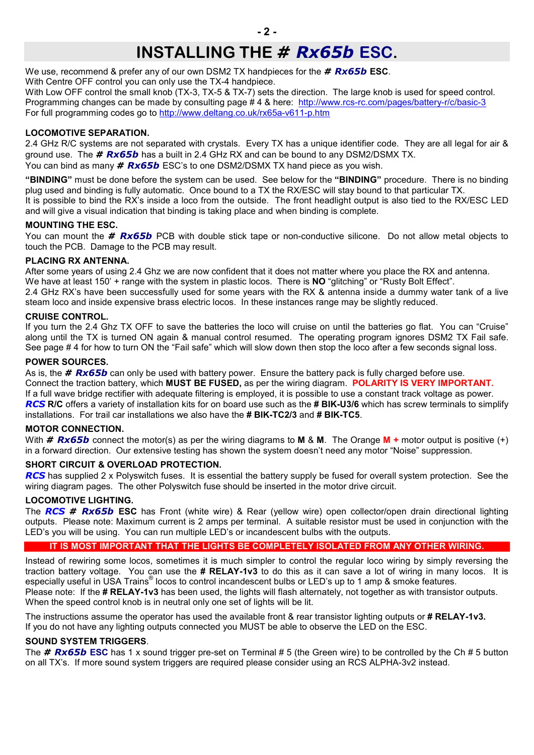# **INSTALLING THE** *# Rx65b* **ESC.**

We use, recommend & prefer any of our own DSM2 TX handpieces for the *# Rx65b* **ESC**. With Centre OFF control you can only use the TX-4 handpiece.

With Low OFF control the small knob (TX-3, TX-5 & TX-7) sets the direction. The large knob is used for speed control. Programming changes can be made by consulting page # 4 & here: http://www.rcs-rc.com/pages/battery-r/c/basic-3 For full programming codes go to http://www.deltang.co.uk/rx65a-v611-p.htm

### **LOCOMOTIVE SEPARATION.**

2.4 GHz R/C systems are not separated with crystals. Every TX has a unique identifier code. They are all legal for air & ground use. The *# Rx65b* has a built in 2.4 GHz RX and can be bound to any DSM2/DSMX TX. You can bind as many *# Rx65b* ESC's to one DSM2/DSMX TX hand piece as you wish.

**"BINDING"** must be done before the system can be used. See below for the **"BINDING"** procedure. There is no binding plug used and binding is fully automatic. Once bound to a TX the RX/ESC will stay bound to that particular TX. It is possible to bind the RX's inside a loco from the outside. The front headlight output is also tied to the RX/ESC LED and will give a visual indication that binding is taking place and when binding is complete.

#### **MOUNTING THE ESC.**

You can mount the *# Rx65b* PCB with double stick tape or non-conductive silicone. Do not allow metal objects to touch the PCB. Damage to the PCB may result.

#### **PLACING RX ANTENNA.**

After some years of using 2.4 Ghz we are now confident that it does not matter where you place the RX and antenna. We have at least 150' + range with the system in plastic locos. There is **NO** "glitching" or "Rusty Bolt Effect".

2.4 GHz RX's have been successfully used for some years with the RX & antenna inside a dummy water tank of a live steam loco and inside expensive brass electric locos. In these instances range may be slightly reduced.

#### **CRUISE CONTROL.**

If you turn the 2.4 Ghz TX OFF to save the batteries the loco will cruise on until the batteries go flat. You can "Cruise" along until the TX is turned ON again & manual control resumed. The operating program ignores DSM2 TX Fail safe. See page # 4 for how to turn ON the "Fail safe" which will slow down then stop the loco after a few seconds signal loss.

#### **POWER SOURCES.**

As is, the *# Rx65b* can only be used with battery power. Ensure the battery pack is fully charged before use. Connect the traction battery, which **MUST BE FUSED,** as per the wiring diagram. **POLARITY IS VERY IMPORTANT.** If a full wave bridge rectifier with adequate filtering is employed, it is possible to use a constant track voltage as power. *RCS* **R/C** offers a variety of installation kits for on board use such as the **# BIK-U3/6** which has screw terminals to simplify installations. For trail car installations we also have the **# BIK-TC2/3** and **# BIK-TC5**.

#### **MOTOR CONNECTION.**

With *# Rx65b* connect the motor(s) as per the wiring diagrams to **M** & **M**. The Orange **M +** motor output is positive (+) in a forward direction. Our extensive testing has shown the system doesn't need any motor "Noise" suppression.

#### **SHORT CIRCUIT & OVERLOAD PROTECTION.**

*RCS* has supplied 2 x Polyswitch fuses. It is essential the battery supply be fused for overall system protection. See the wiring diagram pages. The other Polyswitch fuse should be inserted in the motor drive circuit.

#### **LOCOMOTIVE LIGHTING.**

The *RCS # Rx65b* **ESC** has Front (white wire) & Rear (yellow wire) open collector/open drain directional lighting outputs. Please note: Maximum current is 2 amps per terminal. A suitable resistor must be used in conjunction with the LED's you will be using. You can run multiple LED's or incandescent bulbs with the outputs.

### **IT IS MOST IMPORTANT THAT THE LIGHTS BE COMPLETELY ISOLATED FROM ANY OTHER WIRING.**

Instead of rewiring some locos, sometimes it is much simpler to control the regular loco wiring by simply reversing the traction battery voltage. You can use the **# RELAY-1v3** to do this as it can save a lot of wiring in many locos. It is especially useful in USA Trains<sup>®</sup> locos to control incandescent bulbs or LED's up to 1 amp & smoke features. Please note: If the **# RELAY-1v3** has been used, the lights will flash alternately, not together as with transistor outputs. When the speed control knob is in neutral only one set of lights will be lit.

The instructions assume the operator has used the available front & rear transistor lighting outputs or **# RELAY-1v3.** If you do not have any lighting outputs connected you MUST be able to observe the LED on the ESC.

#### **SOUND SYSTEM TRIGGERS**.

The *# Rx65b* **ESC** has 1 x sound trigger pre-set on Terminal # 5 (the Green wire) to be controlled by the Ch # 5 button on all TX's. If more sound system triggers are required please consider using an RCS ALPHA-3v2 instead.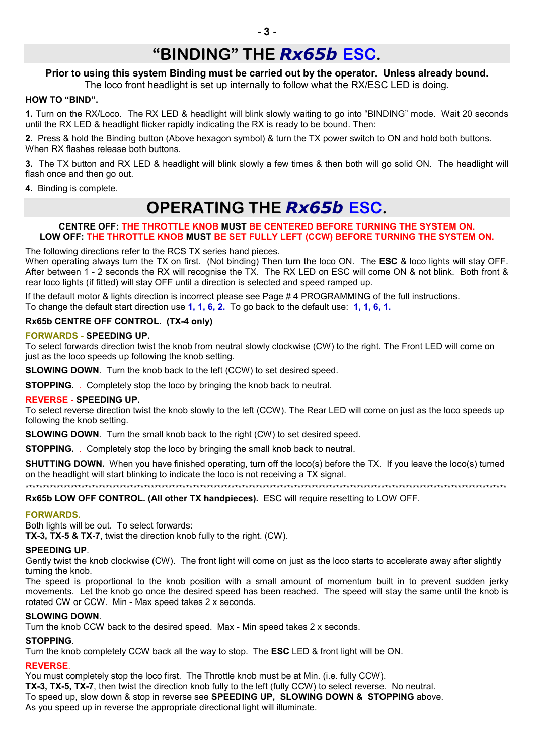# **"BINDING" THE** *Rx65b* **ESC.**

### **Prior to using this system Binding must be carried out by the operator. Unless already bound.**

The loco front headlight is set up internally to follow what the RX/ESC LED is doing.

### **HOW TO "BIND".**

**1.** Turn on the RX/Loco. The RX LED & headlight will blink slowly waiting to go into "BINDING" mode. Wait 20 seconds until the RX LED & headlight flicker rapidly indicating the RX is ready to be bound. Then:

**2.** Press & hold the Binding button (Above hexagon symbol) & turn the TX power switch to ON and hold both buttons. When RX flashes release both buttons.

**3.** The TX button and RX LED & headlight will blink slowly a few times & then both will go solid ON. The headlight will flash once and then go out.

**4.** Binding is complete.

# **OPERATING THE** *Rx65b* **ESC.**

#### **CENTRE OFF: THE THROTTLE KNOB MUST BE CENTERED BEFORE TURNING THE SYSTEM ON. LOW OFF: THE THROTTLE KNOB MUST BE SET FULLY LEFT (CCW) BEFORE TURNING THE SYSTEM ON.**

The following directions refer to the RCS TX series hand pieces.

When operating always turn the TX on first. (Not binding) Then turn the loco ON. The **ESC** & loco lights will stay OFF. After between 1 - 2 seconds the RX will recognise the TX. The RX LED on ESC will come ON & not blink. Both front & rear loco lights (if fitted) will stay OFF until a direction is selected and speed ramped up.

If the default motor & lights direction is incorrect please see Page # 4 PROGRAMMING of the full instructions. To change the default start direction use **1, 1, 6, 2.** To go back to the default use: **1, 1, 6, 1.**

### **Rx65b CENTRE OFF CONTROL. (TX-4 only)**

### **FORWARDS - SPEEDING UP.**

To select forwards direction twist the knob from neutral slowly clockwise (CW) to the right. The Front LED will come on just as the loco speeds up following the knob setting.

**SLOWING DOWN**. Turn the knob back to the left (CCW) to set desired speed.

**STOPPING.** . Completely stop the loco by bringing the knob back to neutral.

### **REVERSE - SPEEDING UP.**

To select reverse direction twist the knob slowly to the left (CCW). The Rear LED will come on just as the loco speeds up following the knob setting.

**SLOWING DOWN**. Turn the small knob back to the right (CW) to set desired speed.

**STOPPING.** . Completely stop the loco by bringing the small knob back to neutral.

**SHUTTING DOWN.** When you have finished operating, turn off the loco(s) before the TX. If you leave the loco(s) turned on the headlight will start blinking to indicate the loco is not receiving a TX signal.

\*\*\*\*\*\*\*\*\*\*\*\*\*\*\*\*\*\*\*\*\*\*\*\*\*\*\*\*\*\*\*\*\*\*\*\*\*\*\*\*\*\*\*\*\*\*\*\*\*\*\*\*\*\*\*\*\*\*\*\*\*\*\*\*\*\*\*\*\*\*\*\*\*\*\*\*\*\*\*\*\*\*\*\*\*\*\*\*\*\*\*\*\*\*\*\*\*\*\*\*\*\*\*\*\*\*\*\*\*\*\*\*\*\*\*\*\*\*\*\*\*\*\*\*\*\*\*\*\*\*\*\*\*\*\*\*\*\*

**Rx65b LOW OFF CONTROL. (All other TX handpieces).** ESC will require resetting to LOW OFF.

### **FORWARDS.**

Both lights will be out. To select forwards:

**TX-3, TX-5 & TX-7**, twist the direction knob fully to the right. (CW).

### **SPEEDING UP**.

Gently twist the knob clockwise (CW). The front light will come on just as the loco starts to accelerate away after slightly turning the knob.

The speed is proportional to the knob position with a small amount of momentum built in to prevent sudden jerky movements. Let the knob go once the desired speed has been reached. The speed will stay the same until the knob is rotated CW or CCW. Min - Max speed takes 2 x seconds.

### **SLOWING DOWN**.

Turn the knob CCW back to the desired speed. Max - Min speed takes 2 x seconds.

### **STOPPING**.

Turn the knob completely CCW back all the way to stop. The **ESC** LED & front light will be ON.

### **REVERSE**.

You must completely stop the loco first. The Throttle knob must be at Min. (i.e. fully CCW). **TX-3, TX-5, TX-7**, then twist the direction knob fully to the left (fully CCW) to select reverse. No neutral. To speed up, slow down & stop in reverse see **SPEEDING UP, SLOWING DOWN & STOPPING** above. As you speed up in reverse the appropriate directional light will illuminate.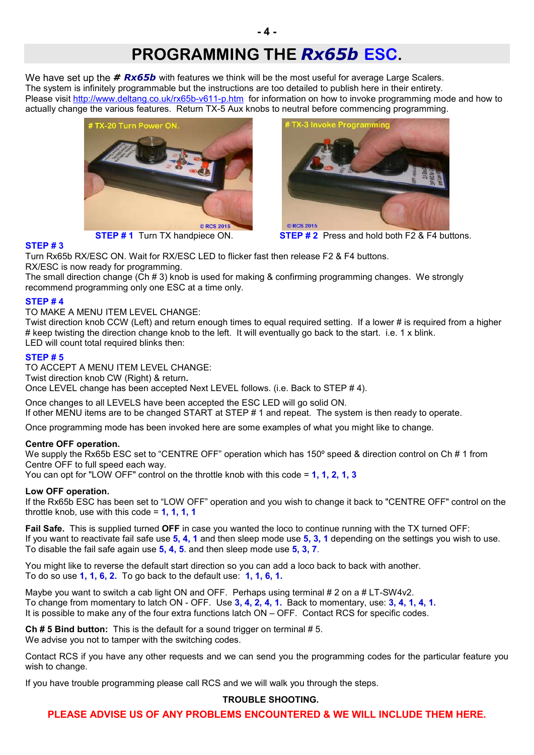### **PROGRAMMING THE** *Rx65b* **ESC.**

We have set up the **# Rx65b** with features we think will be the most useful for average Large Scalers. The system is infinitely programmable but the instructions are too detailed to publish here in their entirety. Please visit http://www.deltang.co.uk/rx65b-v611-p.htm for information on how to invoke programming mode and how to actually change the various features. Return TX-5 Aux knobs to neutral before commencing programming.



**STEP # 3**



**STEP # 1** Turn TX handpiece ON. **STEP # 2** Press and hold both F2 & F4 buttons.

Turn Rx65b RX/ESC ON. Wait for RX/ESC LED to flicker fast then release F2 & F4 buttons. RX/ESC is now ready for programming.

The small direction change (Ch # 3) knob is used for making & confirming programming changes. We strongly recommend programming only one ESC at a time only.

### **STEP # 4**

TO MAKE A MENU ITEM LEVEL CHANGE:

Twist direction knob CCW (Left) and return enough times to equal required setting. If a lower # is required from a higher # keep twisting the direction change knob to the left. It will eventually go back to the start. i.e. 1 x blink. LED will count total required blinks then:

### **STEP # 5**

TO ACCEPT A MENU ITEM LEVEL CHANGE: Twist direction knob CW (Right) & return**.** Once LEVEL change has been accepted Next LEVEL follows. (i.e. Back to STEP # 4).

Once changes to all LEVELS have been accepted the ESC LED will go solid ON. If other MENU items are to be changed START at STEP # 1 and repeat. The system is then ready to operate.

Once programming mode has been invoked here are some examples of what you might like to change.

### **Centre OFF operation.**

We supply the Rx65b ESC set to "CENTRE OFF" operation which has 150° speed & direction control on Ch # 1 from Centre OFF to full speed each way.

You can opt for "LOW OFF" control on the throttle knob with this code = **1, 1, 2, 1, 3**

### **Low OFF operation.**

If the Rx65b ESC has been set to "LOW OFF" operation and you wish to change it back to "CENTRE OFF" control on the throttle knob, use with this code = **1, 1, 1, 1**

**Fail Safe.** This is supplied turned **OFF** in case you wanted the loco to continue running with the TX turned OFF: If you want to reactivate fail safe use **5, 4, 1** and then sleep mode use **5, 3, 1** depending on the settings you wish to use. To disable the fail safe again use **5, 4, 5**. and then sleep mode use **5, 3, 7**.

You might like to reverse the default start direction so you can add a loco back to back with another. To do so use **1, 1, 6, 2.** To go back to the default use: **1, 1, 6, 1.**

Maybe you want to switch a cab light ON and OFF. Perhaps using terminal # 2 on a # LT-SW4v2. To change from momentary to latch ON - OFF. Use **3, 4, 2, 4, 1.** Back to momentary, use: **3, 4, 1, 4, 1.** It is possible to make any of the four extra functions latch ON – OFF. Contact RCS for specific codes.

**Ch # 5 Bind button:** This is the default for a sound trigger on terminal # 5. We advise you not to tamper with the switching codes.

Contact RCS if you have any other requests and we can send you the programming codes for the particular feature you wish to change.

If you have trouble programming please call RCS and we will walk you through the steps.

### **TROUBLE SHOOTING.**

**PLEASE ADVISE US OF ANY PROBLEMS ENCOUNTERED & WE WILL INCLUDE THEM HERE.**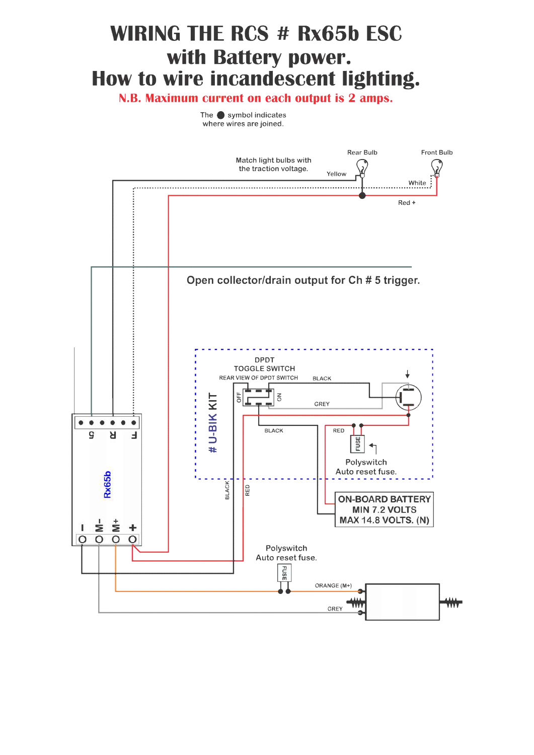# **WIRING THE RCS # Rx65b ESC** with Battery power. How to wire incandescent lighting.

N.B. Maximum current on each output is 2 amps.

The  $\bullet$  symbol indicates where wires are joined.

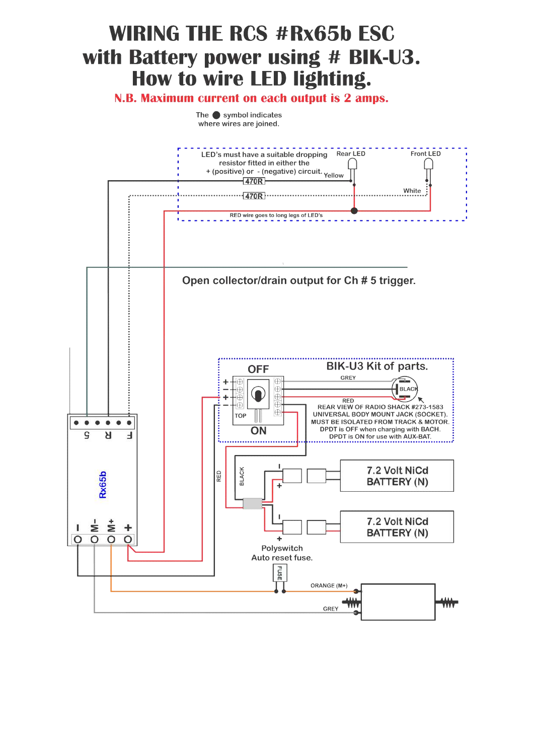# **WIRING THE RCS #Rx65b ESC** with Battery power using # BIK-U3. How to wire LED lighting.

N.B. Maximum current on each output is 2 amps.

The  $\bullet$  symbol indicates where wires are joined.

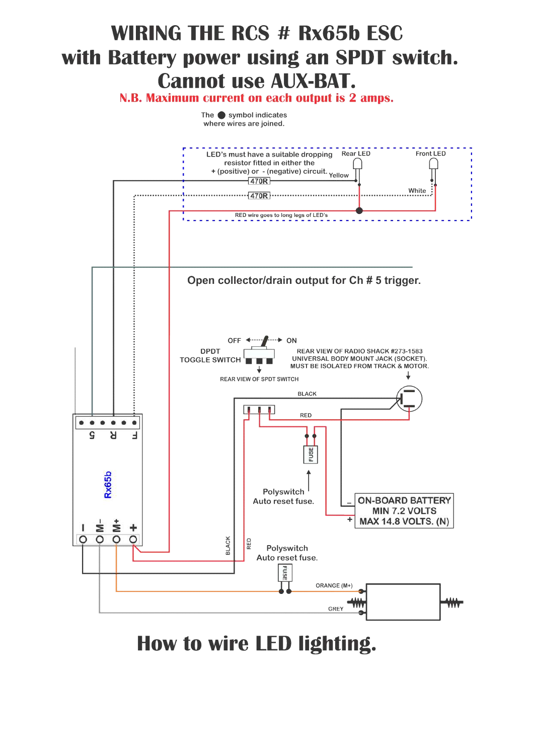# **WIRING THE RCS # Rx65b ESC** with Battery power using an SPDT switch. **Cannot use AUX-BAT.**

N.B. Maximum current on each output is 2 amps.

The  $\bullet$  symbol indicates where wires are joined.



How to wire LED lighting.